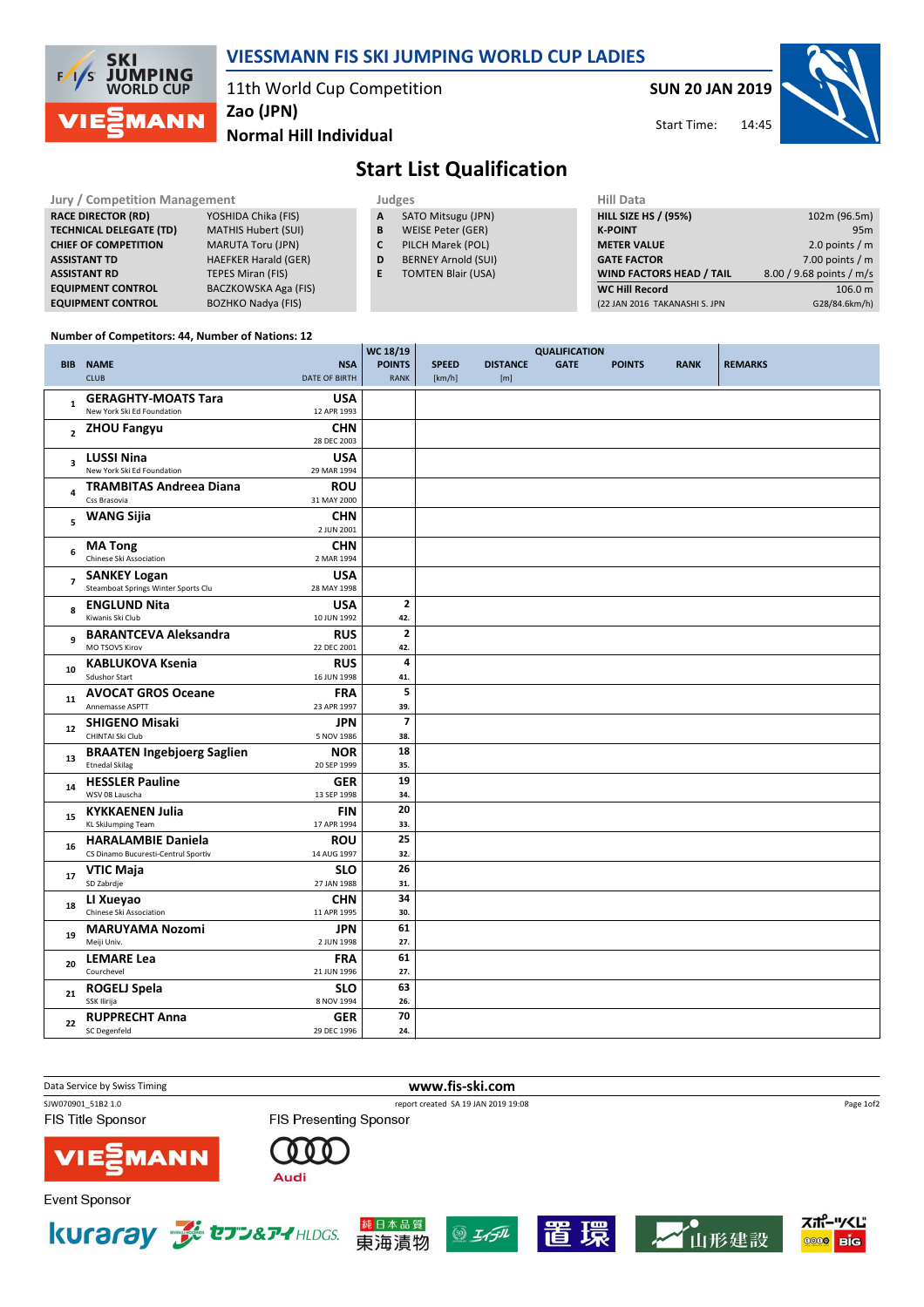

### VIESSMANN FIS SKI JUMPING WORLD CUP LADIES

11th World Cup Competition

SUN 20 JAN 2019

Start Time:



Normal Hill Individual

# Start List Qualification

| <b>Jury / Competition Management</b> |                             |              | Judges                     | <b>Hill Data</b>                |                          |
|--------------------------------------|-----------------------------|--------------|----------------------------|---------------------------------|--------------------------|
| <b>RACE DIRECTOR (RD)</b>            | YOSHIDA Chika (FIS)         | $\mathsf{A}$ | SATO Mitsugu (JPN)         | <b>HILL SIZE HS / (95%)</b>     | 102m (96.5m)             |
| <b>TECHNICAL DELEGATE (TD)</b>       | <b>MATHIS Hubert (SUI)</b>  | B            | WEISE Peter (GER)          | <b>K-POINT</b>                  | 95 <sub>m</sub>          |
| <b>CHIEF OF COMPETITION</b>          | <b>MARUTA Toru (JPN)</b>    | C            | PILCH Marek (POL)          | <b>METER VALUE</b>              | 2.0 points / $m$         |
| <b>ASSISTANT TD</b>                  | <b>HAEFKER Harald (GER)</b> | D            | <b>BERNEY Arnold (SUI)</b> | <b>GATE FACTOR</b>              | 7.00 points / $m$        |
| <b>ASSISTANT RD</b>                  | <b>TEPES Miran (FIS)</b>    | E.           | <b>TOMTEN Blair (USA)</b>  | <b>WIND FACTORS HEAD / TAIL</b> | 8.00 / 9.68 points / m/s |
| <b>EQUIPMENT CONTROL</b>             | BACZKOWSKA Aga (FIS)        |              |                            | <b>WC Hill Record</b>           | 106.0 m                  |
| <b>EQUIPMENT CONTROL</b>             | <b>BOZHKO Nadya (FIS)</b>   |              |                            | (22 JAN 2016 TAKANASHI S. JPN   | G28/84.6km/h)            |

We 18/19 19

#### Number of Competitors: 44, Number of Nations: 12

|                         |                                                 |                           | WC 18/19                |              |                 | <b>QUALIFICATION</b> |               |             |                |
|-------------------------|-------------------------------------------------|---------------------------|-------------------------|--------------|-----------------|----------------------|---------------|-------------|----------------|
|                         | <b>BIB NAME</b>                                 | <b>NSA</b>                | <b>POINTS</b>           | <b>SPEED</b> | <b>DISTANCE</b> | <b>GATE</b>          | <b>POINTS</b> | <b>RANK</b> | <b>REMARKS</b> |
|                         | <b>CLUB</b>                                     | DATE OF BIRTH             | <b>RANK</b>             | [km/h]       | [m]             |                      |               |             |                |
|                         | <b>GERAGHTY-MOATS Tara</b>                      | USA                       |                         |              |                 |                      |               |             |                |
| $\mathbf{1}$            | New York Ski Ed Foundation                      | 12 APR 1993               |                         |              |                 |                      |               |             |                |
|                         |                                                 |                           |                         |              |                 |                      |               |             |                |
| $\overline{2}$          | <b>ZHOU Fangyu</b>                              | <b>CHN</b>                |                         |              |                 |                      |               |             |                |
|                         |                                                 | 28 DEC 2003               |                         |              |                 |                      |               |             |                |
| $\overline{\mathbf{3}}$ | <b>LUSSI Nina</b>                               | <b>USA</b>                |                         |              |                 |                      |               |             |                |
|                         | New York Ski Ed Foundation                      | 29 MAR 1994               |                         |              |                 |                      |               |             |                |
| $\overline{\mathbf{4}}$ | <b>TRAMBITAS Andreea Diana</b>                  | <b>ROU</b>                |                         |              |                 |                      |               |             |                |
|                         | Css Brasovia                                    | 31 MAY 2000               |                         |              |                 |                      |               |             |                |
| 5                       | <b>WANG Sijia</b>                               | <b>CHN</b>                |                         |              |                 |                      |               |             |                |
|                         |                                                 | 2 JUN 2001                |                         |              |                 |                      |               |             |                |
| 6                       | <b>MA Tong</b>                                  | <b>CHN</b>                |                         |              |                 |                      |               |             |                |
|                         | Chinese Ski Association                         | 2 MAR 1994                |                         |              |                 |                      |               |             |                |
|                         | <b>SANKEY Logan</b>                             | <b>USA</b>                |                         |              |                 |                      |               |             |                |
| $\overline{7}$          | Steamboat Springs Winter Sports Clu             | 28 MAY 1998               |                         |              |                 |                      |               |             |                |
|                         | <b>ENGLUND Nita</b>                             | <b>USA</b>                | $\overline{\mathbf{2}}$ |              |                 |                      |               |             |                |
| 8                       | Kiwanis Ski Club                                | 10 JUN 1992               | 42.                     |              |                 |                      |               |             |                |
|                         | <b>BARANTCEVA Aleksandra</b>                    | <b>RUS</b>                | $\mathbf{2}$            |              |                 |                      |               |             |                |
| 9                       | MO TSOVS Kirov                                  | 22 DEC 2001               | 42.                     |              |                 |                      |               |             |                |
|                         |                                                 |                           | 4                       |              |                 |                      |               |             |                |
| 10                      | <b>KABLUKOVA Ksenia</b><br><b>Sdushor Start</b> | <b>RUS</b><br>16 JUN 1998 | 41.                     |              |                 |                      |               |             |                |
|                         |                                                 |                           |                         |              |                 |                      |               |             |                |
| 11                      | <b>AVOCAT GROS Oceane</b>                       | <b>FRA</b>                | 5                       |              |                 |                      |               |             |                |
|                         | Annemasse ASPTT                                 | 23 APR 1997               | 39.                     |              |                 |                      |               |             |                |
| 12                      | <b>SHIGENO Misaki</b>                           | JPN                       | $\overline{7}$          |              |                 |                      |               |             |                |
|                         | CHINTAI Ski Club                                | 5 NOV 1986                | 38.                     |              |                 |                      |               |             |                |
| 13                      | <b>BRAATEN Ingebjoerg Saglien</b>               | <b>NOR</b>                | 18                      |              |                 |                      |               |             |                |
|                         | <b>Etnedal Skilag</b>                           | 20 SEP 1999               | 35.                     |              |                 |                      |               |             |                |
| 14                      | <b>HESSLER Pauline</b>                          | <b>GER</b>                | 19                      |              |                 |                      |               |             |                |
|                         | WSV 08 Lauscha                                  | 13 SEP 1998               | 34.                     |              |                 |                      |               |             |                |
| 15                      | <b>KYKKAENEN Julia</b>                          | <b>FIN</b>                | 20                      |              |                 |                      |               |             |                |
|                         | KL SkiJumping Team                              | 17 APR 1994               | 33.                     |              |                 |                      |               |             |                |
|                         | <b>HARALAMBIE Daniela</b>                       | <b>ROU</b>                | 25                      |              |                 |                      |               |             |                |
| 16                      | CS Dinamo Bucuresti-Centrul Sportiv             | 14 AUG 1997               | 32.                     |              |                 |                      |               |             |                |
|                         | <b>VTIC Maja</b>                                | <b>SLO</b>                | 26                      |              |                 |                      |               |             |                |
| 17                      | SD Zabrdje                                      | 27 JAN 1988               | 31.                     |              |                 |                      |               |             |                |
|                         | LI Xueyao                                       | <b>CHN</b>                | 34                      |              |                 |                      |               |             |                |
| 18                      | Chinese Ski Association                         | 11 APR 1995               | 30.                     |              |                 |                      |               |             |                |
|                         | <b>MARUYAMA Nozomi</b>                          | <b>JPN</b>                | 61                      |              |                 |                      |               |             |                |
| 19                      | Meiji Univ.                                     | 2 JUN 1998                | 27.                     |              |                 |                      |               |             |                |
|                         |                                                 |                           | 61                      |              |                 |                      |               |             |                |
| 20                      | <b>LEMARE Lea</b><br>Courchevel                 | <b>FRA</b><br>21 JUN 1996 | 27.                     |              |                 |                      |               |             |                |
|                         |                                                 |                           |                         |              |                 |                      |               |             |                |
| 21                      | <b>ROGELJ Spela</b>                             | <b>SLO</b>                | 63                      |              |                 |                      |               |             |                |
|                         | SSK Ilirija                                     | 8 NOV 1994                | 26.                     |              |                 |                      |               |             |                |
| 22                      | <b>RUPPRECHT Anna</b>                           | <b>GER</b>                | 70                      |              |                 |                      |               |             |                |
|                         | SC Degenfeld                                    | 29 DEC 1996               | 24.                     |              |                 |                      |               |             |                |



東海漬物

 $\circledS$   $H$ 

。<br>山形建設

**Die 6000**